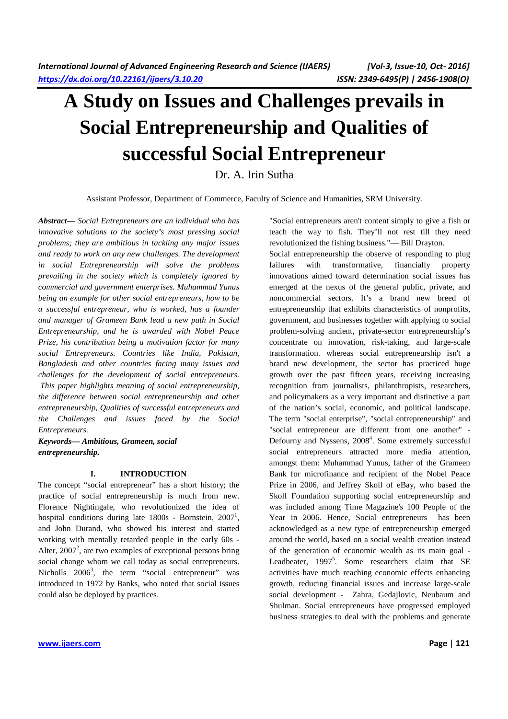# **A Study on Issues and Challenges prevails in Social Entrepreneurship and Qualities of successful Social Entrepreneur**

Dr. A. Irin Sutha

Assistant Professor, Department of Commerce, Faculty of Science and Humanities, SRM University.

*Abstract***—** *Social Entrepreneurs are an individual who has innovative solutions to the society's most pressing social problems; they are ambitious in tackling any major issues and ready to work on any new challenges. The development in social Entrepreneurship will solve the problems prevailing in the society which is completely ignored by commercial and government enterprises. Muhammad Yunus being an example for other social entrepreneurs, how to be a successful entrepreneur, who is worked, has a founder and manager of Grameen Bank lead a new path in Social Entrepreneurship, and he is awarded with Nobel Peace Prize, his contribution being a motivation factor for many social Entrepreneurs. Countries like India, Pakistan, Bangladesh and other countries facing many issues and challenges for the development of social entrepreneurs. This paper highlights meaning of social entrepreneurship, the difference between social entrepreneurship and other entrepreneurship, Qualities of successful entrepreneurs and the Challenges and issues faced by the Social Entrepreneurs.*

*Keywords— Ambitious, Grameen, social entrepreneurship.* 

#### **I. INTRODUCTION**

The concept "social entrepreneur" has a short history; the practice of social entrepreneurship is much from new. Florence Nightingale, who revolutionized the idea of hospital conditions during late  $1800s$  - Bornstein,  $2007<sup>1</sup>$ , and John Durand, who showed his interest and started working with mentally retarded people in the early 60s - Alter,  $2007<sup>2</sup>$ , are two examples of exceptional persons bring social change whom we call today as social entrepreneurs. Nicholls  $2006^3$ , the term "social entrepreneur" was introduced in 1972 by Banks, who noted that social issues could also be deployed by practices.

"Social entrepreneurs aren't content simply to give a fish or teach the way to fish. They'll not rest till they need revolutionized the fishing business."— Bill Drayton.

Social entrepreneurship the observe of responding to plug failures with transformative, financially property innovations aimed toward determination social issues has emerged at the nexus of the general public, private, and noncommercial sectors. It's a brand new breed of entrepreneurship that exhibits characteristics of nonprofits, government, and businesses together with applying to social problem-solving ancient, private-sector entrepreneurship's concentrate on innovation, risk-taking, and large-scale transformation. whereas social entrepreneurship isn't a brand new development, the sector has practiced huge growth over the past fifteen years, receiving increasing recognition from journalists, philanthropists, researchers, and policymakers as a very important and distinctive a part of the nation's social, economic, and political landscape. The term "social enterprise", "social entrepreneurship" and "social entrepreneur are different from one another" - Defourny and Nyssens, 2008<sup>4</sup>. Some extremely successful social entrepreneurs attracted more media attention, amongst them: Muhammad Yunus, father of the Grameen Bank for microfinance and recipient of the Nobel Peace Prize in 2006, and Jeffrey Skoll of eBay, who based the Skoll Foundation supporting social entrepreneurship and was included among Time Magazine's 100 People of the Year in 2006. Hence, Social entrepreneurs has been acknowledged as a new type of entrepreneurship emerged around the world, based on a social wealth creation instead of the generation of economic wealth as its main goal - Leadbeater, 1997<sup>5</sup>. Some researchers claim that SE activities have much reaching economic effects enhancing growth, reducing financial issues and increase large-scale social development - Zahra, Gedajlovic, Neubaum and Shulman. Social entrepreneurs have progressed employed business strategies to deal with the problems and generate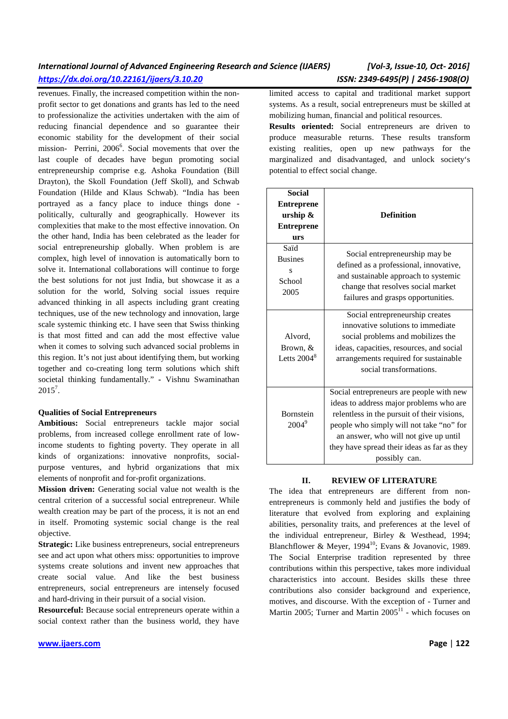revenues. Finally, the increased competition within the nonprofit sector to get donations and grants has led to the need to professionalize the activities undertaken with the aim of reducing financial dependence and so guarantee their economic stability for the development of their social mission- Perrini, 2006<sup>6</sup>. Social movements that over the last couple of decades have begun promoting social entrepreneurship comprise e.g. Ashoka Foundation (Bill Drayton), the Skoll Foundation (Jeff Skoll), and Schwab Foundation (Hilde and Klaus Schwab). "India has been portrayed as a fancy place to induce things done politically, culturally and geographically. However its complexities that make to the most effective innovation. On the other hand, India has been celebrated as the leader for social entrepreneurship globally. When problem is are complex, high level of innovation is automatically born to solve it. International collaborations will continue to forge the best solutions for not just India, but showcase it as a solution for the world, Solving social issues require advanced thinking in all aspects including grant creating techniques, use of the new technology and innovation, large scale systemic thinking etc. I have seen that Swiss thinking is that most fitted and can add the most effective value when it comes to solving such advanced social problems in this region. It's not just about identifying them, but working together and co-creating long term solutions which shift societal thinking fundamentally." **-** Vishnu Swaminathan  $2015^7$ .

### **Qualities of Social Entrepreneurs**

**Ambitious:** Social entrepreneurs tackle major social problems, from increased college enrollment rate of lowincome students to fighting poverty. They operate in all kinds of organizations: innovative nonprofits, socialpurpose ventures, and hybrid organizations that mix elements of nonprofit and for-profit organizations.

**Mission driven:** Generating social value not wealth is the central criterion of a successful social entrepreneur. While wealth creation may be part of the process, it is not an end in itself. Promoting systemic social change is the real objective.

**Strategic:** Like business entrepreneurs, social entrepreneurs see and act upon what others miss: opportunities to improve systems create solutions and invent new approaches that create social value. And like the best business entrepreneurs, social entrepreneurs are intensely focused and hard-driving in their pursuit of a social vision.

**Resourceful:** Because social entrepreneurs operate within a social context rather than the business world, they have

limited access to capital and traditional market support systems. As a result, social entrepreneurs must be skilled at mobilizing human, financial and political resources.

**Results oriented:** Social entrepreneurs are driven to produce measurable returns. These results transform existing realities, open up new pathways for the marginalized and disadvantaged, and unlock society's potential to effect social change.

| <b>Social</b><br><b>Entreprene</b><br>urship &<br><b>Entreprene</b><br>urs | <b>Definition</b>                                                                                                                                                                                                                                                                       |  |  |  |  |
|----------------------------------------------------------------------------|-----------------------------------------------------------------------------------------------------------------------------------------------------------------------------------------------------------------------------------------------------------------------------------------|--|--|--|--|
| Saïd<br><b>Busines</b><br>s<br>School<br>2005                              | Social entrepreneurship may be<br>defined as a professional, innovative,<br>and sustainable approach to systemic<br>change that resolves social market<br>failures and grasps opportunities.                                                                                            |  |  |  |  |
| Alvord,<br>Brown, &<br>Letts $2004^8$                                      | Social entrepreneurship creates<br>innovative solutions to immediate<br>social problems and mobilizes the<br>ideas, capacities, resources, and social<br>arrangements required for sustainable<br>social transformations.                                                               |  |  |  |  |
| <b>Bornstein</b><br>$2004^9$                                               | Social entrepreneurs are people with new<br>ideas to address major problems who are<br>relentless in the pursuit of their visions,<br>people who simply will not take "no" for<br>an answer, who will not give up until<br>they have spread their ideas as far as they<br>possibly can. |  |  |  |  |

### **II. REVIEW OF LITERATURE**

The idea that entrepreneurs are different from nonentrepreneurs is commonly held and justifies the body of literature that evolved from exploring and explaining abilities, personality traits, and preferences at the level of the individual entrepreneur, Birley & Westhead, 1994; Blanchflower & Meyer, 1994<sup>10</sup>; Evans & Jovanovic, 1989. The Social Enterprise tradition represented by three contributions within this perspective, takes more individual characteristics into account. Besides skills these three contributions also consider background and experience, motives, and discourse. With the exception of - Turner and Martin 2005; Turner and Martin  $2005<sup>11</sup>$  - which focuses on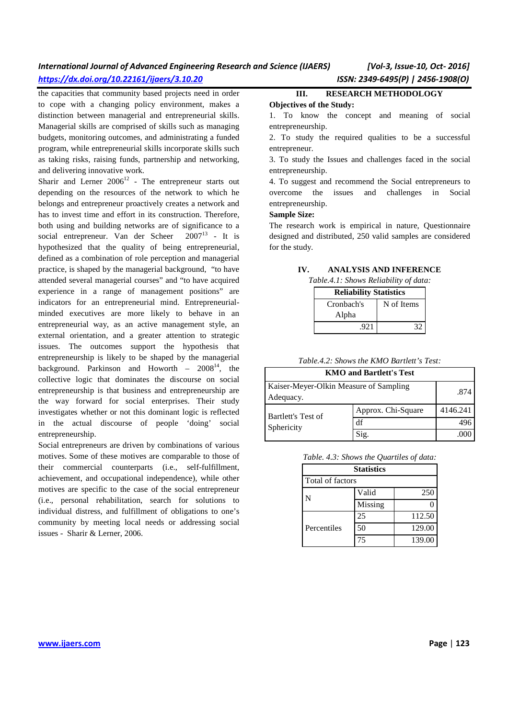the capacities that community based projects need in order to cope with a changing policy environment, makes a distinction between managerial and entrepreneurial skills. Managerial skills are comprised of skills such as managing budgets, monitoring outcomes, and administrating a funded program, while entrepreneurial skills incorporate skills such as taking risks, raising funds, partnership and networking, and delivering innovative work.

Sharir and Lerner  $2006^{12}$  - The entrepreneur starts out depending on the resources of the network to which he belongs and entrepreneur proactively creates a network and has to invest time and effort in its construction. Therefore, both using and building networks are of significance to a social entrepreneur. Van der Scheer  $2007<sup>13</sup>$  - It is hypothesized that the quality of being entrepreneurial, defined as a combination of role perception and managerial practice, is shaped by the managerial background, "to have attended several managerial courses" and "to have acquired experience in a range of management positions" are indicators for an entrepreneurial mind. Entrepreneurialminded executives are more likely to behave in an entrepreneurial way, as an active management style, an external orientation, and a greater attention to strategic issues. The outcomes support the hypothesis that entrepreneurship is likely to be shaped by the managerial background. Parkinson and Howorth –  $2008^{14}$ , the collective logic that dominates the discourse on social entrepreneurship is that business and entrepreneurship are the way forward for social enterprises. Their study investigates whether or not this dominant logic is reflected in the actual discourse of people 'doing' social entrepreneurship.

Social entrepreneurs are driven by combinations of various motives. Some of these motives are comparable to those of their commercial counterparts (i.e., self-fulfillment, achievement, and occupational independence), while other motives are specific to the case of the social entrepreneur (i.e., personal rehabilitation, search for solutions to individual distress, and fulfillment of obligations to one's community by meeting local needs or addressing social issues - Sharir & Lerner, 2006.

# **III. RESEARCH METHODOLOGY**

#### **Objectives of the Study:**

1. To know the concept and meaning of social entrepreneurship.

2. To study the required qualities to be a successful entrepreneur.

3. To study the Issues and challenges faced in the social entrepreneurship.

4. To suggest and recommend the Social entrepreneurs to overcome the issues and challenges in Social entrepreneurship.

### **Sample Size:**

The research work is empirical in nature, Questionnaire designed and distributed, 250 valid samples are considered for the study.

## **IV. ANALYSIS AND INFERENCE**

*Table.4.1: Shows Reliability of data:* 

| <b>Reliability Statistics</b> |            |  |  |
|-------------------------------|------------|--|--|
| Cronbach's                    | N of Items |  |  |
| Alpha                         |            |  |  |
| .921                          |            |  |  |

*Table.4.2: Shows the KMO Bartlett's Test:* 

| <b>KMO and Bartlett's Test</b>                      |                    |          |  |  |
|-----------------------------------------------------|--------------------|----------|--|--|
| Kaiser-Meyer-Olkin Measure of Sampling<br>Adequacy. | .874               |          |  |  |
| Bartlett's Test of                                  | Approx. Chi-Square | 4146.241 |  |  |
| Sphericity                                          | df                 |          |  |  |
|                                                     | Sig.               |          |  |  |

*Table. 4.3: Shows the Quartiles of data:* 

| <b>Statistics</b> |         |        |  |  |
|-------------------|---------|--------|--|--|
| Total of factors  |         |        |  |  |
|                   | Valid   | 250    |  |  |
|                   | Missing |        |  |  |
|                   | 25      | 112.50 |  |  |
| Percentiles       | 50      | 129.00 |  |  |
|                   | 75      | 139.00 |  |  |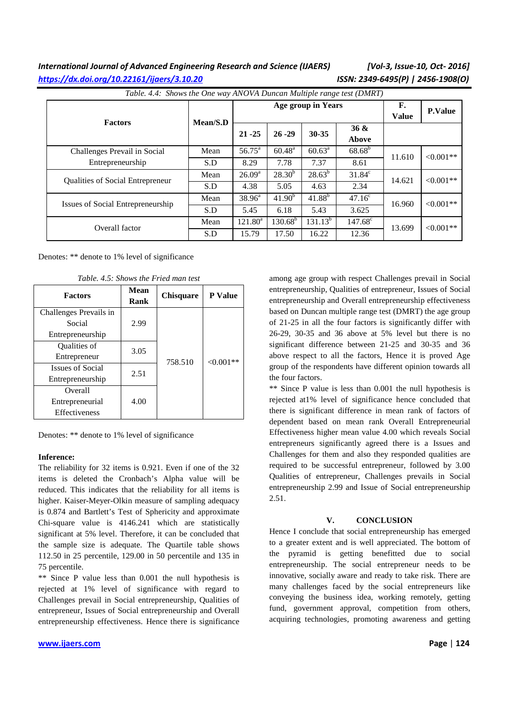| Table. 4.4: Shows the One way ANOVA Duncan Multiple range test (DMRT) |          |                    |                    |                    |                  |                    |                |
|-----------------------------------------------------------------------|----------|--------------------|--------------------|--------------------|------------------|--------------------|----------------|
| <b>Factors</b>                                                        | Mean/S.D |                    | Age group in Years |                    |                  | F.<br><b>Value</b> | <b>P.Value</b> |
|                                                                       |          | $21 - 25$          | $26 - 29$          | $30 - 35$          | 36 &<br>Above    |                    |                |
| Challenges Prevail in Social                                          | Mean     | $56.75^{\circ}$    | $60.48^{\rm a}$    | $60.63^{\text{a}}$ | $68.68^{\rm b}$  | 11.610             | $< 0.001**$    |
| Entrepreneurship                                                      | S.D      | 8.29               | 7.78               | 7.37               | 8.61             |                    |                |
| <b>Oualities of Social Entrepreneur</b>                               | Mean     | 26.09 <sup>a</sup> | $28.30^{b}$        | $28.63^{b}$        | $31.84^c$        | 14.621             | $< 0.001**$    |
|                                                                       | S.D      | 4.38               | 5.05               | 4.63               | 2.34             |                    |                |
| Issues of Social Entrepreneurship                                     | Mean     | $38.96^{\circ}$    | 41.90 <sup>b</sup> | $41.88^{b}$        | $47.16^{\circ}$  | 16.960             | $< 0.001**$    |
|                                                                       | S.D      | 5.45               | 6.18               | 5.43               | 3.625            |                    |                |
| Overall factor                                                        | Mean     | $121.80^a$         | $130.68^{\rm b}$   | $131.13^{b}$       | $147.68^{\circ}$ | 13.699             | $< 0.001**$    |
|                                                                       | S.D      | 15.79              | 17.50              | 16.22              | 12.36            |                    |                |

Denotes: \*\* denote to 1% level of significance

*Table. 4.5: Shows the Fried man test* 

| <b>Factors</b>          | <b>Mean</b><br>Rank | <b>Chisquare</b> | <b>P</b> Value |  |  |
|-------------------------|---------------------|------------------|----------------|--|--|
| Challenges Prevails in  |                     |                  |                |  |  |
| Social                  | 2.99                | 758.510          | $<0.001**$     |  |  |
| Entrepreneurship        |                     |                  |                |  |  |
| Qualities of            | 3.05                |                  |                |  |  |
| Entrepreneur            |                     |                  |                |  |  |
| <b>Issues of Social</b> | 2.51                |                  |                |  |  |
| Entrepreneurship        |                     |                  |                |  |  |
| Overall                 |                     |                  |                |  |  |
| Entrepreneurial         | 4.00                |                  |                |  |  |
| Effectiveness           |                     |                  |                |  |  |

Denotes: \*\* denote to 1% level of significance

#### **Inference:**

The reliability for 32 items is 0.921. Even if one of the 32 items is deleted the Cronbach's Alpha value will be reduced. This indicates that the reliability for all items is higher. Kaiser-Meyer-Olkin measure of sampling adequacy is 0.874 and Bartlett's Test of Sphericity and approximate Chi-square value is 4146.241 which are statistically significant at 5% level. Therefore, it can be concluded that the sample size is adequate. The Quartile table shows 112.50 in 25 percentile, 129.00 in 50 percentile and 135 in 75 percentile.

\*\* Since P value less than 0.001 the null hypothesis is rejected at 1% level of significance with regard to Challenges prevail in Social entrepreneurship, Qualities of entrepreneur, Issues of Social entrepreneurship and Overall entrepreneurship effectiveness. Hence there is significance

among age group with respect Challenges prevail in Social entrepreneurship, Qualities of entrepreneur, Issues of Social entrepreneurship and Overall entrepreneurship effectiveness based on Duncan multiple range test (DMRT) the age group of 21-25 in all the four factors is significantly differ with 26-29, 30-35 and 36 above at 5% level but there is no significant difference between 21-25 and 30-35 and 36 above respect to all the factors, Hence it is proved Age group of the respondents have different opinion towards all the four factors.

\*\* Since P value is less than 0.001 the null hypothesis is rejected at1% level of significance hence concluded that there is significant difference in mean rank of factors of dependent based on mean rank Overall Entrepreneurial Effectiveness higher mean value 4.00 which reveals Social entrepreneurs significantly agreed there is a Issues and Challenges for them and also they responded qualities are required to be successful entrepreneur, followed by 3.00 Qualities of entrepreneur, Challenges prevails in Social entrepreneurship 2.99 and Issue of Social entrepreneurship 2.51.

### **V. CONCLUSION**

Hence I conclude that social entrepreneurship has emerged to a greater extent and is well appreciated. The bottom of the pyramid is getting benefitted due to social entrepreneurship. The social entrepreneur needs to be innovative, socially aware and ready to take risk. There are many challenges faced by the social entrepreneurs like conveying the business idea, working remotely, getting fund, government approval, competition from others, acquiring technologies, promoting awareness and getting